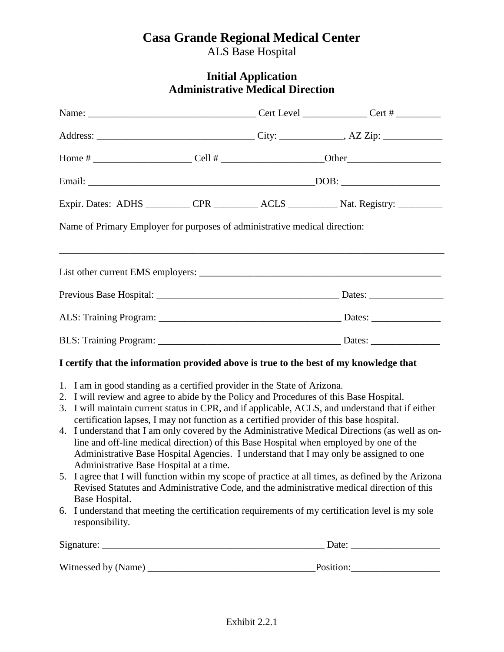# **Casa Grande Regional Medical Center**

ALS Base Hospital

## **Initial Application Administrative Medical Direction**

|                                                                                                                                                                                                                                                                                                                                                 |  | Expir. Dates: ADHS __________ CPR __________ ACLS __________ Nat. Registry: _________                                                                                                                                                                                                                                                                                                                                                                                                                                                                                                                                                                                                            |
|-------------------------------------------------------------------------------------------------------------------------------------------------------------------------------------------------------------------------------------------------------------------------------------------------------------------------------------------------|--|--------------------------------------------------------------------------------------------------------------------------------------------------------------------------------------------------------------------------------------------------------------------------------------------------------------------------------------------------------------------------------------------------------------------------------------------------------------------------------------------------------------------------------------------------------------------------------------------------------------------------------------------------------------------------------------------------|
| Name of Primary Employer for purposes of administrative medical direction:                                                                                                                                                                                                                                                                      |  |                                                                                                                                                                                                                                                                                                                                                                                                                                                                                                                                                                                                                                                                                                  |
|                                                                                                                                                                                                                                                                                                                                                 |  |                                                                                                                                                                                                                                                                                                                                                                                                                                                                                                                                                                                                                                                                                                  |
|                                                                                                                                                                                                                                                                                                                                                 |  |                                                                                                                                                                                                                                                                                                                                                                                                                                                                                                                                                                                                                                                                                                  |
|                                                                                                                                                                                                                                                                                                                                                 |  |                                                                                                                                                                                                                                                                                                                                                                                                                                                                                                                                                                                                                                                                                                  |
|                                                                                                                                                                                                                                                                                                                                                 |  |                                                                                                                                                                                                                                                                                                                                                                                                                                                                                                                                                                                                                                                                                                  |
| I certify that the information provided above is true to the best of my knowledge that                                                                                                                                                                                                                                                          |  |                                                                                                                                                                                                                                                                                                                                                                                                                                                                                                                                                                                                                                                                                                  |
| 1. I am in good standing as a certified provider in the State of Arizona.<br>2. I will review and agree to abide by the Policy and Procedures of this Base Hospital.<br>certification lapses, I may not function as a certified provider of this base hospital.<br>Administrative Base Hospital at a time.<br>Base Hospital.<br>responsibility. |  | 3. I will maintain current status in CPR, and if applicable, ACLS, and understand that if either<br>4. I understand that I am only covered by the Administrative Medical Directions (as well as on-<br>line and off-line medical direction) of this Base Hospital when employed by one of the<br>Administrative Base Hospital Agencies. I understand that I may only be assigned to one<br>5. I agree that I will function within my scope of practice at all times, as defined by the Arizona<br>Revised Statutes and Administrative Code, and the administrative medical direction of this<br>6. I understand that meeting the certification requirements of my certification level is my sole |
|                                                                                                                                                                                                                                                                                                                                                 |  |                                                                                                                                                                                                                                                                                                                                                                                                                                                                                                                                                                                                                                                                                                  |
|                                                                                                                                                                                                                                                                                                                                                 |  |                                                                                                                                                                                                                                                                                                                                                                                                                                                                                                                                                                                                                                                                                                  |